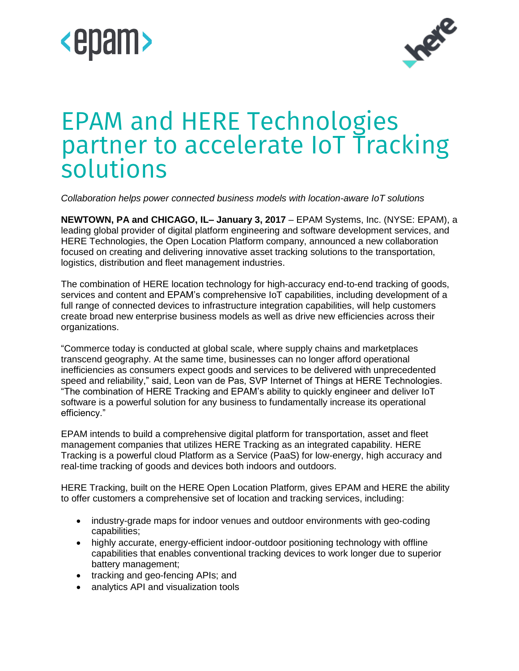



# EPAM and HERE Technologies partner to accelerate IoT Tracking solutions

*Collaboration helps power connected business models with location-aware IoT solutions* 

**NEWTOWN, PA and CHICAGO, IL– January 3, 2017** – EPAM Systems, Inc. (NYSE: EPAM), a leading global provider of digital platform engineering and software development services, and HERE Technologies, the Open Location Platform company, announced a new collaboration focused on creating and delivering innovative asset tracking solutions to the transportation, logistics, distribution and fleet management industries.

The combination of HERE location technology for high-accuracy end-to-end tracking of goods, services and content and EPAM's comprehensive IoT capabilities, including development of a full range of connected devices to infrastructure integration capabilities, will help customers create broad new enterprise business models as well as drive new efficiencies across their organizations.

"Commerce today is conducted at global scale, where supply chains and marketplaces transcend geography. At the same time, businesses can no longer afford operational inefficiencies as consumers expect goods and services to be delivered with unprecedented speed and reliability," said, Leon van de Pas, SVP Internet of Things at HERE Technologies. "The combination of HERE Tracking and EPAM's ability to quickly engineer and deliver IoT software is a powerful solution for any business to fundamentally increase its operational efficiency."

EPAM intends to build a comprehensive digital platform for transportation, asset and fleet management companies that utilizes HERE Tracking as an integrated capability. HERE Tracking is a powerful cloud Platform as a Service (PaaS) for low-energy, high accuracy and real-time tracking of goods and devices both indoors and outdoors.

HERE Tracking, built on the HERE Open Location Platform, gives EPAM and HERE the ability to offer customers a comprehensive set of location and tracking services, including:

- industry-grade maps for indoor venues and outdoor environments with geo-coding capabilities;
- highly accurate, energy-efficient indoor-outdoor positioning technology with offline capabilities that enables conventional tracking devices to work longer due to superior battery management;
- tracking and geo-fencing APIs; and
- analytics API and visualization tools